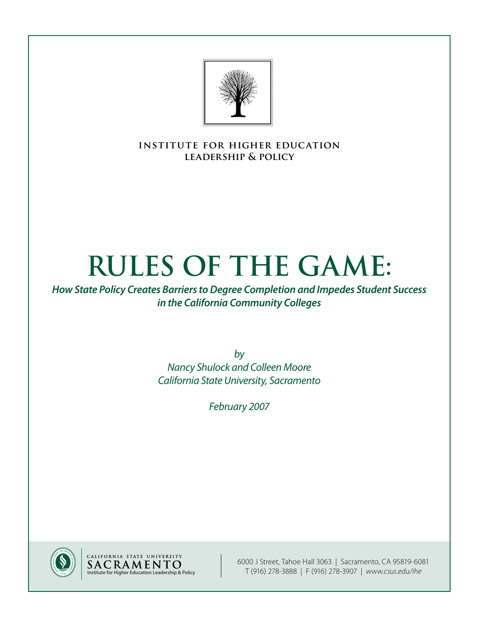

**institute for higher education leadership & policy**

# **Rules of the Game:**

*How State Policy Creates Barriers to Degree Completion and Impedes Student Success in the California Community Colleges*

> *by Nancy Shulock and Colleen Moore California State University, Sacramento*

> > *February 2007*





6000 J Street, Tahoe Hall 3063 | Sacramento, CA 95819-6081 T (916) 278-3888 | F (916) 278-3907 | *www.csus.edu/ihe*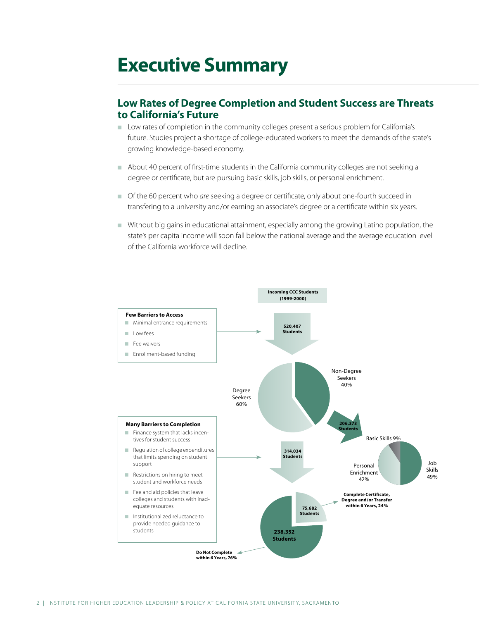## **Executive Summary**

## **Low Rates of Degree Completion and Student Success are Threats to California's Future**

- **n** Low rates of completion in the community colleges present a serious problem for California's future. Studies project a shortage of college-educated workers to meet the demands of the state's growing knowledge-based economy.
- <sup>n</sup> About 40 percent of first-time students in the California community colleges are not seeking a degree or certificate, but are pursuing basic skills, job skills, or personal enrichment.
- <sup>n</sup> Of the 60 percent who *are* seeking a degree or certificate, only about one-fourth succeed in transfering to a university and/or earning an associate's degree or a certificate within six years.
- <sup>n</sup> Without big gains in educational attainment, especially among the growing Latino population, the state's per capita income will soon fall below the national average and the average education level of the California workforce will decline.

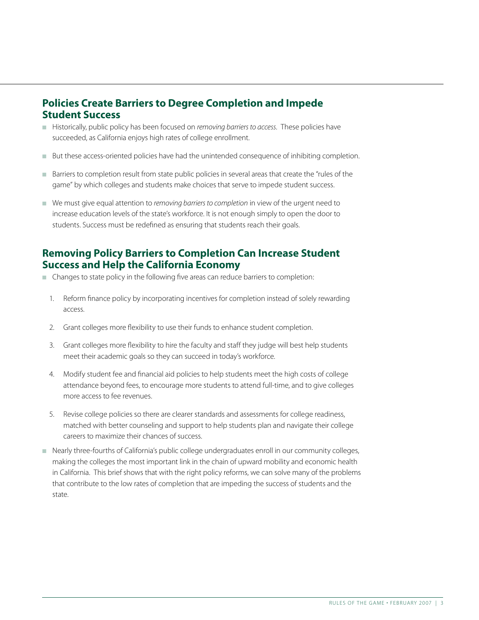## **Policies Create Barriers to Degree Completion and Impede Student Success**

- <sup>n</sup> Historically, public policy has been focused on *removing barriers to access*. These policies have succeeded, as California enjoys high rates of college enrollment.
- <sup>n</sup> But these access-oriented policies have had the unintended consequence of inhibiting completion.
- Barriers to completion result from state public policies in several areas that create the "rules of the game" by which colleges and students make choices that serve to impede student success.
- <sup>n</sup> We must give equal attention to *removing barriers to completion* in view of the urgent need to increase education levels of the state's workforce. It is not enough simply to open the door to students. Success must be redefined as ensuring that students reach their goals.

## **Removing Policy Barriers to Completion Can Increase Student Success and Help the California Economy**

- n Changes to state policy in the following five areas can reduce barriers to completion:
	- 1. Reform finance policy by incorporating incentives for completion instead of solely rewarding access.
	- 2. Grant colleges more flexibility to use their funds to enhance student completion.
	- 3. Grant colleges more flexibility to hire the faculty and staff they judge will best help students meet their academic goals so they can succeed in today's workforce.
	- 4. Modify student fee and financial aid policies to help students meet the high costs of college attendance beyond fees, to encourage more students to attend full-time, and to give colleges more access to fee revenues.
	- 5. Revise college policies so there are clearer standards and assessments for college readiness, matched with better counseling and support to help students plan and navigate their college careers to maximize their chances of success.
- n Nearly three-fourths of California's public college undergraduates enroll in our community colleges, making the colleges the most important link in the chain of upward mobility and economic health in California. This brief shows that with the right policy reforms, we can solve many of the problems that contribute to the low rates of completion that are impeding the success of students and the state.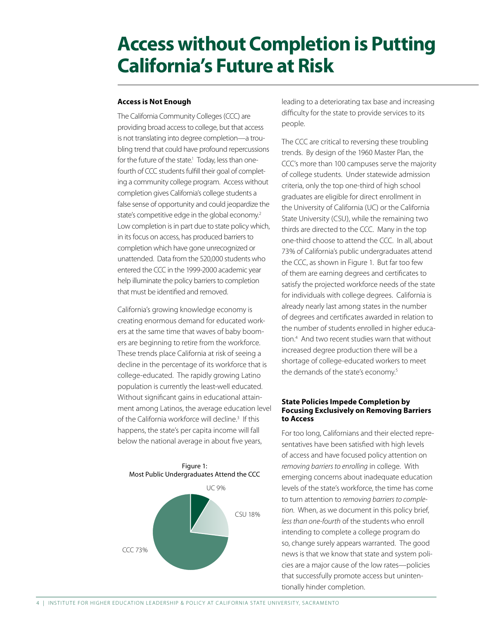## **Access without Completion is Putting California's Future at Risk**

#### **Access is Not Enough**

The California Community Colleges (CCC) are providing broad access to college, but that access is not translating into degree completion—a troubling trend that could have profound repercussions for the future of the state.<sup>1</sup> Today, less than onefourth of CCC students fulfill their goal of completing a community college program. Access without completion gives California's college students a false sense of opportunity and could jeopardize the state's competitive edge in the global economy.<sup>2</sup> Low completion is in part due to state policy which, in its focus on access, has produced barriers to completion which have gone unrecognized or unattended. Data from the 520,000 students who entered the CCC in the 1999-2000 academic year help illuminate the policy barriers to completion that must be identified and removed.

California's growing knowledge economy is creating enormous demand for educated workers at the same time that waves of baby boomers are beginning to retire from the workforce. These trends place California at risk of seeing a decline in the percentage of its workforce that is college-educated. The rapidly growing Latino population is currently the least-well educated. Without significant gains in educational attainment among Latinos, the average education level of the California workforce will decline.<sup>3</sup> If this happens, the state's per capita income will fall below the national average in about five years,



leading to a deteriorating tax base and increasing difficulty for the state to provide services to its people.

The CCC are critical to reversing these troubling trends. By design of the 1960 Master Plan, the CCC's more than 100 campuses serve the majority of college students. Under statewide admission criteria, only the top one-third of high school graduates are eligible for direct enrollment in the University of California (UC) or the California State University (CSU), while the remaining two thirds are directed to the CCC. Many in the top one-third choose to attend the CCC. In all, about 73% of California's public undergraduates attend the CCC, as shown in Figure 1. But far too few of them are earning degrees and certificates to satisfy the projected workforce needs of the state for individuals with college degrees. California is already nearly last among states in the number of degrees and certificates awarded in relation to the number of students enrolled in higher education.4 And two recent studies warn that without increased degree production there will be a shortage of college-educated workers to meet the demands of the state's economy.5

#### **State Policies Impede Completion by Focusing Exclusively on Removing Barriers to Access**

For too long, Californians and their elected representatives have been satisfied with high levels of access and have focused policy attention on *removing barriers to enrolling* in college. With emerging concerns about inadequate education levels of the state's workforce, the time has come to turn attention to *removing barriers to completion*. When, as we document in this policy brief, *less than one-fourth* of the students who enroll intending to complete a college program do so, change surely appears warranted. The good news is that we know that state and system policies are a major cause of the low rates—policies that successfully promote access but unintentionally hinder completion.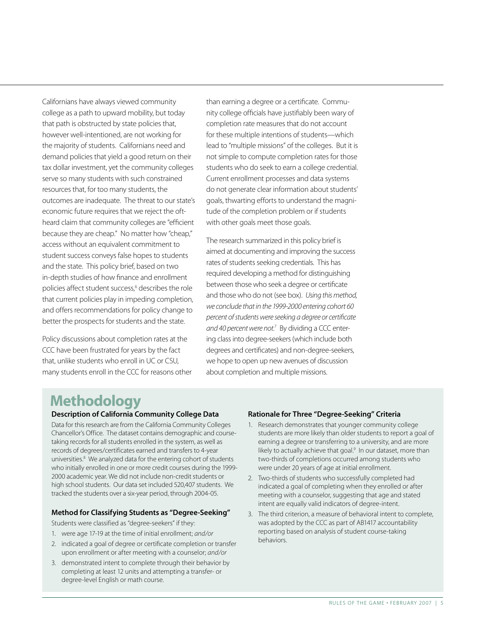Californians have always viewed community college as a path to upward mobility, but today that path is obstructed by state policies that, however well-intentioned, are not working for the majority of students. Californians need and demand policies that yield a good return on their tax dollar investment, yet the community colleges serve so many students with such constrained resources that, for too many students, the outcomes are inadequate. The threat to our state's economic future requires that we reject the oftheard claim that community colleges are "efficient because they are cheap." No matter how "cheap," access without an equivalent commitment to student success conveys false hopes to students and the state. This policy brief, based on two in-depth studies of how finance and enrollment policies affect student success,<sup>6</sup> describes the role that current policies play in impeding completion, and offers recommendations for policy change to better the prospects for students and the state.

Policy discussions about completion rates at the CCC have been frustrated for years by the fact that, unlike students who enroll in UC or CSU, many students enroll in the CCC for reasons other than earning a degree or a certificate. Community college officials have justifiably been wary of completion rate measures that do not account for these multiple intentions of students—which lead to "multiple missions" of the colleges. But it is not simple to compute completion rates for those students who do seek to earn a college credential. Current enrollment processes and data systems do not generate clear information about students' goals, thwarting efforts to understand the magnitude of the completion problem or if students with other goals meet those goals.

The research summarized in this policy brief is aimed at documenting and improving the success rates of students seeking credentials. This has required developing a method for distinguishing between those who seek a degree or certificate and those who do not (see box). *Using this method, we conclude that in the 1999-2000 entering cohort 60 percent of students were seeking a degree or certificate*  and 40 percent were not.<sup>7</sup> By dividing a CCC entering class into degree-seekers (which include both degrees and certificates) and non-degree-seekers, we hope to open up new avenues of discussion about completion and multiple missions.

## **Methodology**

#### Description of California Community College Data

Data for this research are from the California Community Colleges Chancellor's Office. The dataset contains demographic and coursetaking records for all students enrolled in the system, as well as records of degrees/certificates earned and transfers to 4-year universities.<sup>8</sup> We analyzed data for the entering cohort of students who initially enrolled in one or more credit courses during the 1999- 2000 academic year. We did not include non-credit students or high school students. Our data set included 520,407 students. We tracked the students over a six-year period, through 2004-05.

#### Method for Classifying Students as "Degree-Seeking"

Students were classified as "degree-seekers" if they:

- 1. were age 17-19 at the time of initial enrollment; *and/or*
- 2. indicated a goal of degree or certificate completion or transfer upon enrollment or after meeting with a counselor; *and/or*
- 3. demonstrated intent to complete through their behavior by completing at least 12 units and attempting a transfer- or degree-level English or math course.

#### Rationale for Three "Degree-Seeking" Criteria

- 1. Research demonstrates that younger community college students are more likely than older students to report a goal of earning a degree or transferring to a university, and are more likely to actually achieve that goal.<sup>9</sup> In our dataset, more than two-thirds of completions occurred among students who were under 20 years of age at initial enrollment.
- 2. Two-thirds of students who successfully completed had indicated a goal of completing when they enrolled or after meeting with a counselor, suggesting that age and stated intent are equally valid indicators of degree-intent.
- 3. The third criterion, a measure of behavioral intent to complete, was adopted by the CCC as part of AB1417 accountability reporting based on analysis of student course-taking behaviors.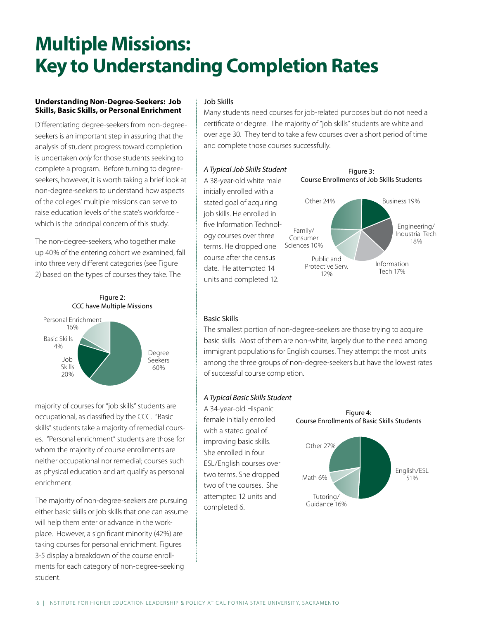## **Multiple Missions: Key to Understanding Completion Rates**

#### **Understanding Non-Degree-Seekers: Job Skills, Basic Skills, or Personal Enrichment**

Differentiating degree-seekers from non-degreeseekers is an important step in assuring that the analysis of student progress toward completion is undertaken *only* for those students seeking to complete a program. Before turning to degreeseekers, however, it is worth taking a brief look at non-degree-seekers to understand how aspects of the colleges' multiple missions can serve to raise education levels of the state's workforce which is the principal concern of this study.

The non-degree-seekers, who together make up 40% of the entering cohort we examined, fall into three very different categories (see Figure 2) based on the types of courses they take. The





majority of courses for "job skills" students are occupational, as classified by the CCC. "Basic skills" students take a majority of remedial courses. "Personal enrichment" students are those for whom the majority of course enrollments are neither occupational nor remedial; courses such as physical education and art qualify as personal enrichment.

The majority of non-degree-seekers are pursuing either basic skills or job skills that one can assume will help them enter or advance in the workplace. However, a significant minority (42%) are taking courses for personal enrichment. Figures 3-5 display a breakdown of the course enrollments for each category of non-degree-seeking student.

### Job Skills

Many students need courses for job-related purposes but do not need a certificate or degree. The majority of "job skills" students are white and over age 30. They tend to take a few courses over a short period of time and complete those courses successfully.

#### *A Typical Job Skills Student*

A 38-year-old white male initially enrolled with a stated goal of acquiring job skills. He enrolled in five Information Technology courses over three terms. He dropped one course after the census date. He attempted 14 units and completed 12.



### Basic Skills

The smallest portion of non-degree-seekers are those trying to acquire basic skills. Most of them are non-white, largely due to the need among immigrant populations for English courses. They attempt the most units among the three groups of non-degree-seekers but have the lowest rates of successful course completion.

### *A Typical Basic Skills Student*

A 34-year-old Hispanic female initially enrolled with a stated goal of improving basic skills. She enrolled in four ESL/English courses over two terms. She dropped two of the courses. She attempted 12 units and completed 6.

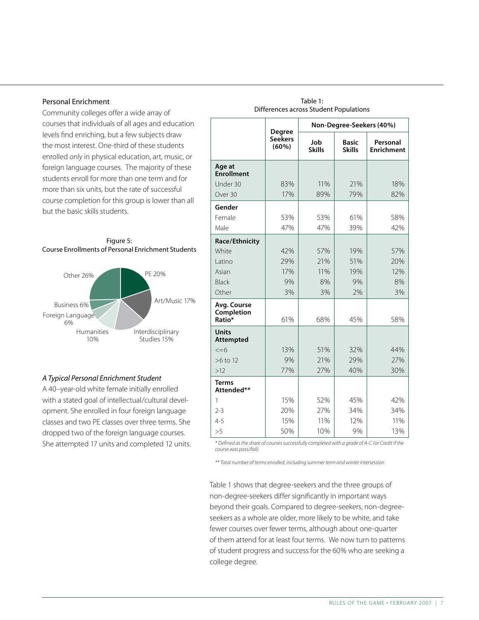#### Personal Enrichment

Community colleges offer a wide array of courses that individuals of all ages and education levels find enriching, but a few subjects draw the most interest. One-third of these students enrolled *only* in physical education, art, music, or foreign language courses. The majority of these students enroll for more than one term and for more than six units, but the rate of successful course completion for this group is lower than all but the basic skills students.





#### *A Typical Personal Enrichment Student*

A 40–year-old white female initially enrolled with a stated goal of intellectual/cultural development. She enrolled in four foreign language classes and two PE classes over three terms. She dropped two of the foreign language courses. She attempted 17 units and completed 12 units.

|                                     | <b>Degree</b>           | Non-Degree-Seekers (40%) |                               |                               |
|-------------------------------------|-------------------------|--------------------------|-------------------------------|-------------------------------|
|                                     | <b>Seekers</b><br>(60%) | Job<br><b>Skills</b>     | <b>Basic</b><br><b>Skills</b> | Personal<br><b>Enrichment</b> |
| Age at<br><b>Enrollment</b>         |                         |                          |                               |                               |
| Under 30                            | 83%                     | 11%                      | 21%                           | 18%                           |
| Over 30                             | 17%                     | 89%                      | 79%                           | 82%                           |
| Gender                              |                         |                          |                               |                               |
| Female                              | 53%                     | 53%                      | 61%                           | 58%                           |
| Male                                | 47%                     | 47%                      | 39%                           | 42%                           |
| Race/Ethnicity                      |                         |                          |                               |                               |
| White                               | 42%                     | 57%                      | 19%                           | 57%                           |
| l atino                             | 29%                     | 21%                      | 51%                           | 20%                           |
| Asian                               | 17%                     | 11%                      | 19%                           | 12%                           |
| <b>Black</b>                        | 9%                      | 8%                       | 9%                            | 8%                            |
| Other                               | 3%                      | 3%                       | 2%                            | 3%                            |
| Avg. Course<br>Completion<br>Ratio* | 61%                     | 68%                      | 45%                           | 58%                           |
| <b>Units</b><br>Attempted           |                         |                          |                               |                               |
| $\leq$ =6                           | 13%                     | 51%                      | 32%                           | 44%                           |
| >6 to 12                            | 9%                      | 21%                      | 29%                           | 27%                           |
| >12                                 | 77%                     | 27%                      | 40%                           | 30%                           |
| <b>Terms</b><br>Attended**          |                         |                          |                               |                               |
| 1                                   | 15%                     | 52%                      | 45%                           | 42%                           |
| $2 - 3$                             | 20%                     | 27%                      | 34%                           | 34%                           |
| $4 - 5$                             | 15%                     | 11%                      | 12%                           | 11%                           |
| >5                                  | 50%                     | 10%                      | 9%                            | 13%                           |

Table 1: Differences across Student Populations

*\* Defined as the share of courses successfully completed with a grade of A-C (or Credit if the course was pass/fail)*

*\*\* Total number of terms enrolled, including summer term and winter intersession*

Table 1 shows that degree-seekers and the three groups of non-degree-seekers differ significantly in important ways beyond their goals. Compared to degree-seekers, non-degreeseekers as a whole are older, more likely to be white, and take fewer courses over fewer terms, although about one-quarter of them attend for at least four terms. We now turn to patterns of student progress and success for the 60% who are seeking a college degree.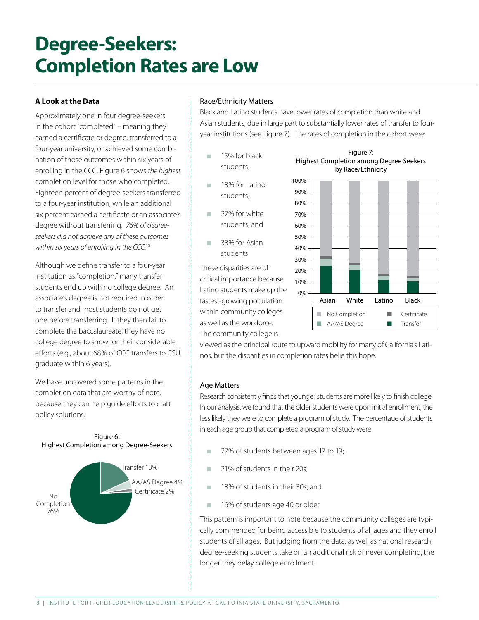## **Degree-Seekers: Completion Rates are Low**

### **A Look at the Data**

Approximately one in four degree-seekers in the cohort "completed" – meaning they earned a certificate or degree, transferred to a four-year university, or achieved some combination of those outcomes within six years of enrolling in the CCC. Figure 6 shows *the highest* completion level for those who completed. Eighteen percent of degree-seekers transferred to a four-year institution, while an additional six percent earned a certificate or an associate's degree without transferring. *76% of degreeseekers did not achieve any of these outcomes within six years of enrolling in the CCC.*10

Although we define transfer to a four-year institution as "completion," many transfer students end up with no college degree. An associate's degree is not required in order to transfer and most students do not get one before transferring. If they then fail to complete the baccalaureate, they have no college degree to show for their considerable efforts (e.g., about 68% of CCC transfers to CSU graduate within 6 years).

We have uncovered some patterns in the completion data that are worthy of note, because they can help guide efforts to craft policy solutions.



### Race/Ethnicity Matters

Black and Latino students have lower rates of completion than white and Asian students, due in large part to substantially lower rates of transfer to fouryear institutions (see Figure 7). The rates of completion in the cohort were:

- **15%** for black students;
- n 18% for Latino students;
- $\Box$  27% for white students; and
- **1** 33% for Asian students

These disparities are of critical importance because Latino students make up the fastest-growing population within community colleges as well as the workforce. The community college is



Figure 7:

viewed as the principal route to upward mobility for many of California's Latinos, but the disparities in completion rates belie this hope.

#### Age Matters

Research consistently finds that younger students are more likely to finish college. In our analysis, we found that the older students were upon initial enrollment, the less likely they were to complete a program of study. The percentage of students in each age group that completed a program of study were:

- **120.** 27% of students between ages 17 to 19;
- **n** 21% of students in their 20s;
- **18% of students in their 30s; and**
- 16% of students age 40 or older.

This pattern is important to note because the community colleges are typically commended for being accessible to students of all ages and they enroll students of all ages. But judging from the data, as well as national research, degree-seeking students take on an additional risk of never completing, the longer they delay college enrollment.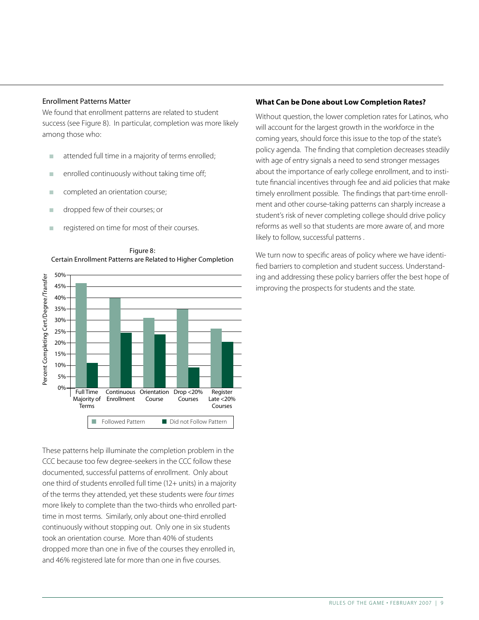#### Enrollment Patterns Matter

We found that enrollment patterns are related to student success (see Figure 8). In particular, completion was more likely among those who:

- $\blacksquare$  attended full time in a majority of terms enrolled;
- $\blacksquare$  enrolled continuously without taking time off;
- completed an orientation course;
- **n** dropped few of their courses; or
- n registered on time for most of their courses.



Figure 8: Certain Enrollment Patterns are Related to Higher Completion

These patterns help illuminate the completion problem in the CCC because too few degree-seekers in the CCC follow these documented, successful patterns of enrollment. Only about one third of students enrolled full time (12+ units) in a majority of the terms they attended, yet these students were *four times* more likely to complete than the two-thirds who enrolled parttime in most terms. Similarly, only about one-third enrolled

continuously without stopping out. Only one in six students took an orientation course. More than 40% of students dropped more than one in five of the courses they enrolled in, and 46% registered late for more than one in five courses.

#### **What Can be Done about Low Completion Rates?**

Without question, the lower completion rates for Latinos, who will account for the largest growth in the workforce in the coming years, should force this issue to the top of the state's policy agenda. The finding that completion decreases steadily with age of entry signals a need to send stronger messages about the importance of early college enrollment, and to institute financial incentives through fee and aid policies that make timely enrollment possible. The findings that part-time enrollment and other course-taking patterns can sharply increase a student's risk of never completing college should drive policy reforms as well so that students are more aware of, and more likely to follow, successful patterns .

We turn now to specific areas of policy where we have identified barriers to completion and student success. Understanding and addressing these policy barriers offer the best hope of improving the prospects for students and the state.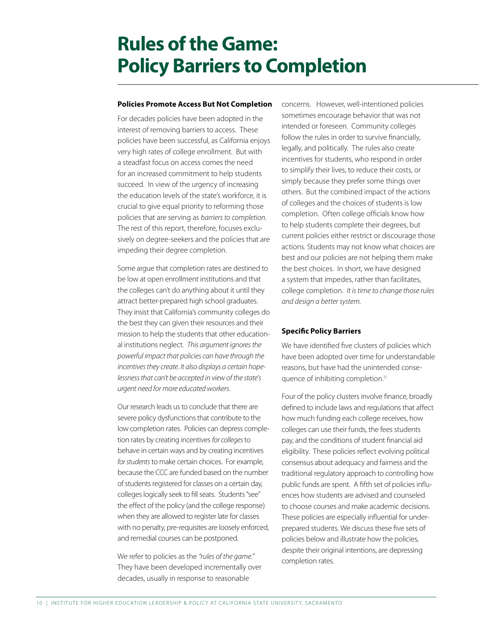## **Rules of the Game: Policy Barriers to Completion**

#### **Policies Promote Access But Not Completion**

For decades policies have been adopted in the interest of removing barriers to access. These policies have been successful, as California enjoys very high rates of college enrollment. But with a steadfast focus on access comes the need for an increased commitment to help students succeed. In view of the urgency of increasing the education levels of the state's workforce, it is crucial to give equal priority to reforming those policies that are serving as *barriers to completion*. The rest of this report, therefore, focuses exclusively on degree-seekers and the policies that are impeding their degree completion.

Some argue that completion rates are destined to be low at open enrollment institutions and that the colleges can't do anything about it until they attract better-prepared high school graduates. They insist that California's community colleges do the best they can given their resources and their mission to help the students that other educational institutions neglect. *This argument ignores the powerful impact that policies can have through the incentives they create. It also displays a certain hopelessness that can't be accepted in view of the state's urgent need for more educated workers*.

Our research leads us to conclude that there are severe policy dysfunctions that contribute to the low completion rates. Policies can depress completion rates by creating incentives *for colleges* to behave in certain ways and by creating incentives *for students* to make certain choices. For example, because the CCC are funded based on the number of students registered for classes on a certain day, colleges logically seek to fill seats. Students "see" the effect of the policy (and the college response) when they are allowed to register late for classes with no penalty, pre-requisites are loosely enforced, and remedial courses can be postponed.

We refer to policies as the *"rules of the game."* They have been developed incrementally over decades, usually in response to reasonable

concerns. However, well-intentioned policies sometimes encourage behavior that was not intended or foreseen. Community colleges follow the rules in order to survive financially, legally, and politically. The rules also create incentives for students, who respond in order to simplify their lives, to reduce their costs, or simply because they prefer some things over others. But the combined impact of the actions of colleges and the choices of students is low completion. Often college officials know how to help students complete their degrees, but current policies either restrict or discourage those actions. Students may not know what choices are best and our policies are not helping them make the best choices. In short, we have designed a system that impedes, rather than facilitates, college completion. *It is time to change those rules and design a better system*.

#### **Specific Policy Barriers**

We have identified five clusters of policies which have been adopted over time for understandable reasons, but have had the unintended consequence of inhibiting completion.<sup>11</sup>

Four of the policy clusters involve finance, broadly defined to include laws and regulations that affect how much funding each college receives, how colleges can use their funds, the fees students pay, and the conditions of student financial aid eligibility. These policies reflect evolving political consensus about adequacy and fairness and the traditional regulatory approach to controlling how public funds are spent. A fifth set of policies influences how students are advised and counseled to choose courses and make academic decisions. These policies are especially influential for underprepared students. We discuss these five sets of policies below and illustrate how the policies, despite their original intentions, are depressing completion rates.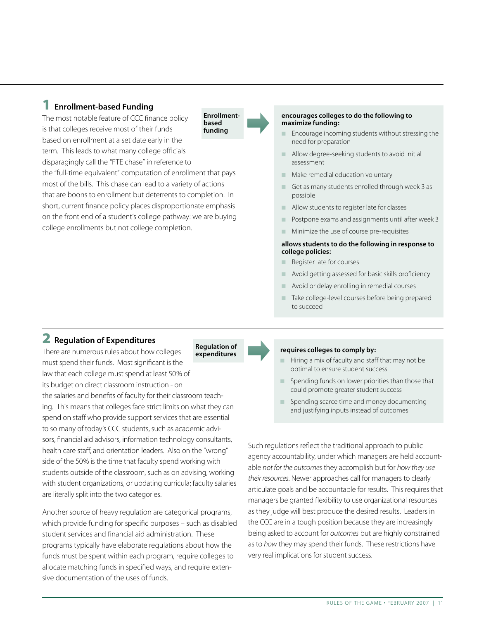### 1 Enrollment-based Funding

The most notable feature of CCC finance policy is that colleges receive most of their funds based on enrollment at a set date early in the term. This leads to what many college officials disparagingly call the "FTE chase" in reference to the "full-time equivalent" computation of enrollment that pays most of the bills. This chase can lead to a variety of actions that are boons to enrollment but deterrents to completion. In short, current finance policy places disproportionate emphasis on the front end of a student's college pathway: we are buying college enrollments but not college completion. Enrollmentbased funding

#### encourages colleges to do the following to maximize funding:

- **n** Encourage incoming students without stressing the need for preparation
- $\blacksquare$  Allow degree-seeking students to avoid initial assessment
- $\blacksquare$  Make remedial education voluntary
- $\Box$  Get as many students enrolled through week 3 as possible
- n Allow students to register late for classes
- n Postpone exams and assignments until after week 3
- n Minimize the use of course pre-requisites

#### allows students to do the following in response to college policies:

- $\blacksquare$  Register late for courses
- $\blacksquare$  Avoid getting assessed for basic skills proficiency
- Avoid or delay enrolling in remedial courses
- n Take college-level courses before being prepared to succeed

## 2 Regulation of Expenditures

expenditures There are numerous rules about how colleges must spend their funds. Most significant is the law that each college must spend at least 50% of its budget on direct classroom instruction - on the salaries and benefits of faculty for their classroom teaching. This means that colleges face strict limits on what they can spend on staff who provide support services that are essential to so many of today's CCC students, such as academic advisors, financial aid advisors, information technology consultants, health care staff, and orientation leaders. Also on the "wrong" side of the 50% is the time that faculty spend working with students outside of the classroom, such as on advising, working with student organizations, or updating curricula; faculty salaries are literally split into the two categories.

Another source of heavy regulation are categorical programs, which provide funding for specific purposes – such as disabled student services and financial aid administration. These programs typically have elaborate regulations about how the funds must be spent within each program, require colleges to allocate matching funds in specified ways, and require extensive documentation of the uses of funds.

#### requires colleges to comply by:

- $\blacksquare$  Hiring a mix of faculty and staff that may not be optimal to ensure student success
- Spending funds on lower priorities than those that could promote greater student success
- $\blacksquare$  Spending scarce time and money documenting and justifying inputs instead of outcomes

Such regulations reflect the traditional approach to public agency accountability, under which managers are held accountable *not for the outcomes* they accomplish but for *how they use their resources*. Newer approaches call for managers to clearly articulate goals and be accountable for results. This requires that managers be granted flexibility to use organizational resources as they judge will best produce the desired results. Leaders in the CCC are in a tough position because they are increasingly being asked to account for *outcomes* but are highly constrained as to *how* they may spend their funds. These restrictions have very real implications for student success.

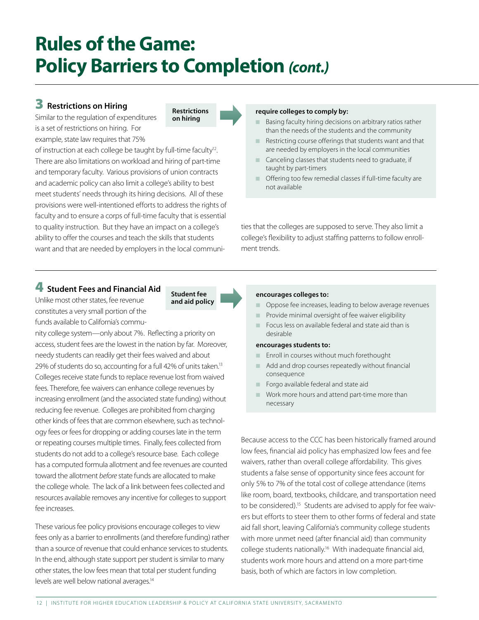## **Rules of the Game: Policy Barriers to Completion** *(cont.)*

Restrictions on hiring

## **3** Restrictions on Hiring

Similar to the regulation of expenditures is a set of restrictions on hiring. For example, state law requires that 75%

of instruction at each college be taught by full-time faculty<sup>12</sup>. There are also limitations on workload and hiring of part-time and temporary faculty. Various provisions of union contracts and academic policy can also limit a college's ability to best meet students' needs through its hiring decisions. All of these provisions were well-intentioned efforts to address the rights of faculty and to ensure a corps of full-time faculty that is essential to quality instruction. But they have an impact on a college's ability to offer the courses and teach the skills that students want and that are needed by employers in the local communi-

#### require colleges to comply by:

- $\blacksquare$  Basing faculty hiring decisions on arbitrary ratios rather than the needs of the students and the community
- $\blacksquare$  Restricting course offerings that students want and that are needed by employers in the local communities
- n Canceling classes that students need to graduate, if taught by part-timers
- $\Box$  Offering too few remedial classes if full-time faculty are not available

ties that the colleges are supposed to serve. They also limit a college's flexibility to adjust staffing patterns to follow enrollment trends.

### 4 Student Fees and Financial Aid

Unlike most other states, fee revenue constitutes a very small portion of the funds available to California's commu-

nity college system—only about 7%. Reflecting a priority on access, student fees are the lowest in the nation by far. Moreover, needy students can readily get their fees waived and about 29% of students do so, accounting for a full 42% of units taken.<sup>13</sup> Colleges receive state funds to replace revenue lost from waived fees. Therefore, fee waivers can enhance college revenues by increasing enrollment (and the associated state funding) without reducing fee revenue. Colleges are prohibited from charging other kinds of fees that are common elsewhere, such as technology fees or fees for dropping or adding courses late in the term or repeating courses multiple times. Finally, fees collected from students do not add to a college's resource base. Each college has a computed formula allotment and fee revenues are counted toward the allotment *before* state funds are allocated to make the college whole. The lack of a link between fees collected and resources available removes any incentive for colleges to support fee increases.

These various fee policy provisions encourage colleges to view fees only as a barrier to enrollments (and therefore funding) rather than a source of revenue that could enhance services to students. In the end, although state support per student is similar to many other states, the low fees mean that total per student funding levels are well below national averages.<sup>14</sup>

#### encourages colleges to:

- **n** Oppose fee increases, leading to below average revenues
- $\blacksquare$  Provide minimal oversight of fee waiver eligibility
- n Focus less on available federal and state aid than is desirable

#### encourages students to:

- Enroll in courses without much forethought
- $\blacksquare$  Add and drop courses repeatedly without financial consequence
- **n** Forgo available federal and state aid
- $\blacksquare$  Work more hours and attend part-time more than necessary

Because access to the CCC has been historically framed around low fees, financial aid policy has emphasized low fees and fee waivers, rather than overall college affordability. This gives students a false sense of opportunity since fees account for only 5% to 7% of the total cost of college attendance (items like room, board, textbooks, childcare, and transportation need to be considered).<sup>15</sup> Students are advised to apply for fee waivers but efforts to steer them to other forms of federal and state aid fall short, leaving California's community college students with more unmet need (after financial aid) than community college students nationally.16 With inadequate financial aid, students work more hours and attend on a more part-time basis, both of which are factors in low completion.

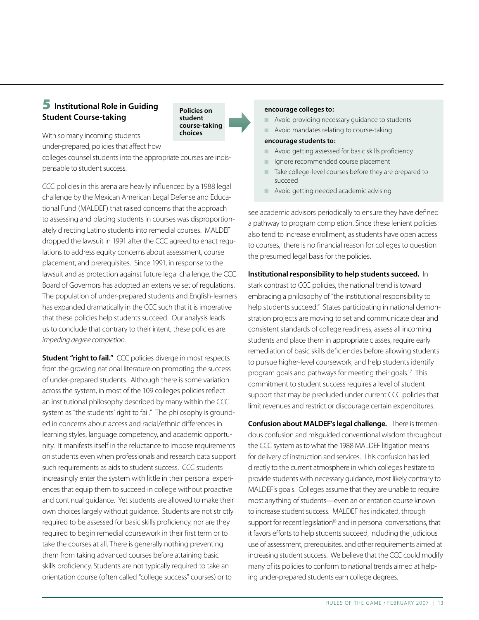## **5** Institutional Role in Guiding Student Course-taking

Policies on student course-taking choices

With so many incoming students under-prepared, policies that affect how

colleges counsel students into the appropriate courses are indispensable to student success.

CCC policies in this arena are heavily influenced by a 1988 legal challenge by the Mexican American Legal Defense and Educational Fund (MALDEF) that raised concerns that the approach to assessing and placing students in courses was disproportionately directing Latino students into remedial courses. MALDEF dropped the lawsuit in 1991 after the CCC agreed to enact regulations to address equity concerns about assessment, course placement, and prerequisites. Since 1991, in response to the lawsuit and as protection against future legal challenge, the CCC Board of Governors has adopted an extensive set of regulations. The population of under-prepared students and English-learners has expanded dramatically in the CCC such that it is imperative that these policies help students succeed. Our analysis leads us to conclude that contrary to their intent, these policies are *impeding degree completion*.

**Student "right to fail."** CCC policies diverge in most respects from the growing national literature on promoting the success of under-prepared students. Although there is some variation across the system, in most of the 109 colleges policies reflect an institutional philosophy described by many within the CCC system as "the students' right to fail." The philosophy is grounded in concerns about access and racial/ethnic differences in learning styles, language competency, and academic opportunity. It manifests itself in the reluctance to impose requirements on students even when professionals and research data support such requirements as aids to student success. CCC students increasingly enter the system with little in their personal experiences that equip them to succeed in college without proactive and continual guidance. Yet students are allowed to make their own choices largely without guidance. Students are not strictly required to be assessed for basic skills proficiency, nor are they required to begin remedial coursework in their first term or to take the courses at all. There is generally nothing preventing them from taking advanced courses before attaining basic skills proficiency. Students are not typically required to take an orientation course (often called "college success" courses) or to

#### encourage colleges to:

- $\blacksquare$  Avoid providing necessary guidance to students
- n Avoid mandates relating to course-taking

#### encourage students to:

- n Avoid getting assessed for basic skills proficiency
- n Ignore recommended course placement
- $\blacksquare$  Take college-level courses before they are prepared to succeed
- $\blacksquare$  Avoid getting needed academic advising

see academic advisors periodically to ensure they have defined a pathway to program completion. Since these lenient policies also tend to increase enrollment, as students have open access to courses, there is no financial reason for colleges to question the presumed legal basis for the policies.

Institutional responsibility to help students succeed. In stark contrast to CCC policies, the national trend is toward embracing a philosophy of "the institutional responsibility to help students succeed." States participating in national demonstration projects are moving to set and communicate clear and consistent standards of college readiness, assess all incoming students and place them in appropriate classes, require early remediation of basic skills deficiencies before allowing students to pursue higher-level coursework, and help students identify program goals and pathways for meeting their goals.17 This commitment to student success requires a level of student support that may be precluded under current CCC policies that limit revenues and restrict or discourage certain expenditures.

Confusion about MALDEF's legal challenge. There is tremendous confusion and misguided conventional wisdom throughout the CCC system as to what the 1988 MALDEF litigation means for delivery of instruction and services. This confusion has led directly to the current atmosphere in which colleges hesitate to provide students with necessary guidance, most likely contrary to MALDEF's goals. Colleges assume that they are unable to require most anything of students—even an orientation course known to increase student success. MALDEF has indicated, through support for recent legislation<sup>18</sup> and in personal conversations, that it favors efforts to help students succeed, including the judicious use of assessment, prerequisites, and other requirements aimed at increasing student success. We believe that the CCC could modify many of its policies to conform to national trends aimed at helping under-prepared students earn college degrees.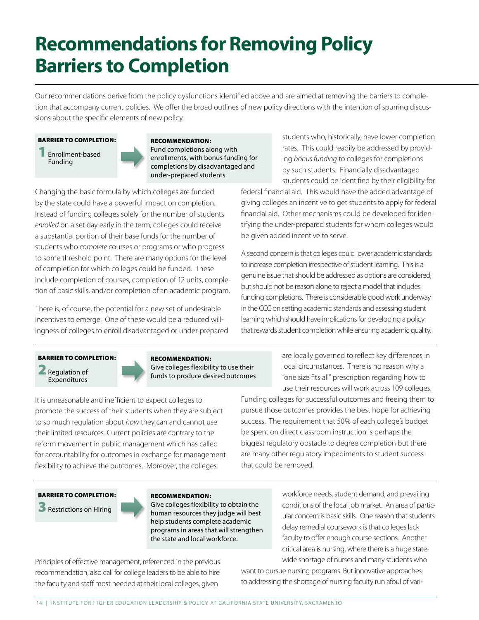## **Recommendations for Removing Policy Barriers to Completion**

Our recommendations derive from the policy dysfunctions identified above and are aimed at removing the barriers to completion that accompany current policies. We offer the broad outlines of new policy directions with the intention of spurring discussions about the specific elements of new policy.

#### BARRIER TO COMPLETION:

1 Enrollment-based Funding



RECOMMENDATION: Fund completions along with enrollments, with bonus funding for completions by disadvantaged and under-prepared students

Changing the basic formula by which colleges are funded by the state could have a powerful impact on completion. Instead of funding colleges solely for the number of students *enrolled* on a set day early in the term, colleges could receive a substantial portion of their base funds for the number of students who *complete* courses or programs or who progress to some threshold point. There are many options for the level of completion for which colleges could be funded. These include completion of courses, completion of 12 units, completion of basic skills, and/or completion of an academic program.

There is, of course, the potential for a new set of undesirable incentives to emerge. One of these would be a reduced willingness of colleges to enroll disadvantaged or under-prepared students who, historically, have lower completion rates. This could readily be addressed by providing *bonus funding* to colleges for completions by such students. Financially disadvantaged students could be identified by their eligibility for

federal financial aid. This would have the added advantage of giving colleges an incentive to get students to apply for federal financial aid. Other mechanisms could be developed for identifying the under-prepared students for whom colleges would be given added incentive to serve.

A second concern is that colleges could lower academic standards to increase completion irrespective of student learning. This is a genuine issue that should be addressed as options are considered, but should not be reason alone to reject a model that includes funding completions. There is considerable good work underway in the CCC on setting academic standards and assessing student learning which should have implications for developing a policy that rewards student completion while ensuring academic quality.

#### BARRIER TO COMPLETION:

**Regulation of** Expenditures



RECOMMENDATION: Give colleges flexibility to use their

It is unreasonable and inefficient to expect colleges to promote the success of their students when they are subject to so much regulation about *how* they can and cannot use their limited resources. Current policies are contrary to the reform movement in public management which has called funds to produce desired outcomes are locally governed to reflect key differences in local circumstances. There is no reason why a "one size fits all" prescription regarding how to use their resources will work across 109 colleges.

Funding colleges for successful outcomes and freeing them to pursue those outcomes provides the best hope for achieving success. The requirement that 50% of each college's budget be spent on direct classroom instruction is perhaps the biggest regulatory obstacle to degree completion but there are many other regulatory impediments to student success that could be removed.

#### BARRIER TO COMPLETION:

**3** Restrictions on Hiring

#### RECOMMENDATION:

Give colleges flexibility to obtain the human resources they judge will best help students complete academic programs in areas that will strengthen the state and local workforce.

workforce needs, student demand, and prevailing conditions of the local job market. An area of particular concern is basic skills. One reason that students delay remedial coursework is that colleges lack faculty to offer enough course sections. Another critical area is nursing, where there is a huge statewide shortage of nurses and many students who

Principles of effective management, referenced in the previous recommendation, also call for college leaders to be able to hire the faculty and staff most needed at their local colleges, given

for accountability for outcomes in exchange for management flexibility to achieve the outcomes. Moreover, the colleges

> want to pursue nursing programs. But innovative approaches to addressing the shortage of nursing faculty run afoul of vari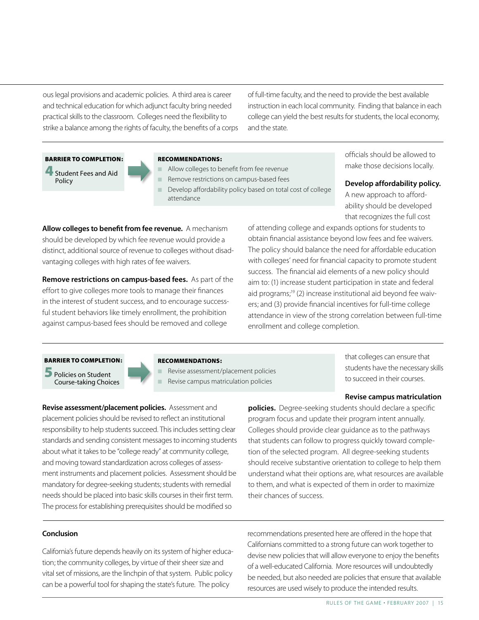ous legal provisions and academic policies. A third area is career and technical education for which adjunct faculty bring needed practical skills to the classroom. Colleges need the flexibility to strike a balance among the rights of faculty, the benefits of a corps of full-time faculty, and the need to provide the best available instruction in each local community. Finding that balance in each college can yield the best results for students, the local economy, and the state.



4 Student Fees and Aid Policy

#### RECOMMENDATIONS:

- Allow colleges to benefit from fee revenue
- Remove restrictions on campus-based fees
- Develop affordability policy based on total cost of college attendance

Allow colleges to benefit from fee revenue. A mechanism should be developed by which fee revenue would provide a distinct, additional source of revenue to colleges without disadvantaging colleges with high rates of fee waivers.

Remove restrictions on campus-based fees. As part of the effort to give colleges more tools to manage their finances in the interest of student success, and to encourage successful student behaviors like timely enrollment, the prohibition against campus-based fees should be removed and college

officials should be allowed to make those decisions locally.

Develop affordability policy. A new approach to affordability should be developed

that recognizes the full cost

of attending college and expands options for students to obtain financial assistance beyond low fees and fee waivers. The policy should balance the need for affordable education with colleges' need for financial capacity to promote student success. The financial aid elements of a new policy should aim to: (1) increase student participation in state and federal aid programs;<sup>19</sup> (2) increase institutional aid beyond fee waivers; and (3) provide financial incentives for full-time college attendance in view of the strong correlation between full-time enrollment and college completion.

#### BARRIER TO COMPLETION:

5 Policies on Student Course-taking Choices

#### RECOMMENDATIONS:

Revise assessment/placement policies

Revise campus matriculation policies

that colleges can ensure that students have the necessary skills to succeed in their courses.

#### Revise campus matriculation

Revise assessment/placement policies. Assessment and placement policies should be revised to reflect an institutional responsibility to help students succeed. This includes setting clear standards and sending consistent messages to incoming students about what it takes to be "college ready" at community college, and moving toward standardization across colleges of assessment instruments and placement policies. Assessment should be mandatory for degree-seeking students; students with remedial needs should be placed into basic skills courses in their first term. The process for establishing prerequisites should be modified so

policies. Degree-seeking students should declare a specific program focus and update their program intent annually. Colleges should provide clear guidance as to the pathways that students can follow to progress quickly toward completion of the selected program. All degree-seeking students should receive substantive orientation to college to help them understand what their options are, what resources are available to them, and what is expected of them in order to maximize their chances of success.

#### Conclusion

California's future depends heavily on its system of higher education; the community colleges, by virtue of their sheer size and vital set of missions, are the linchpin of that system. Public policy can be a powerful tool for shaping the state's future. The policy

recommendations presented here are offered in the hope that Californians committed to a strong future can work together to devise new policies that will allow everyone to enjoy the benefits of a well-educated California. More resources will undoubtedly be needed, but also needed are policies that ensure that available resources are used wisely to produce the intended results.